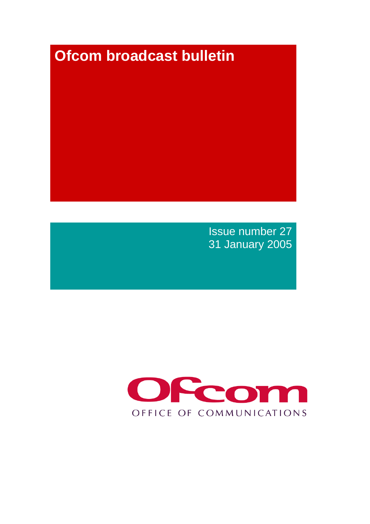# **Ofcom broadcast bulletin**

Issue number 27 31 January 2005

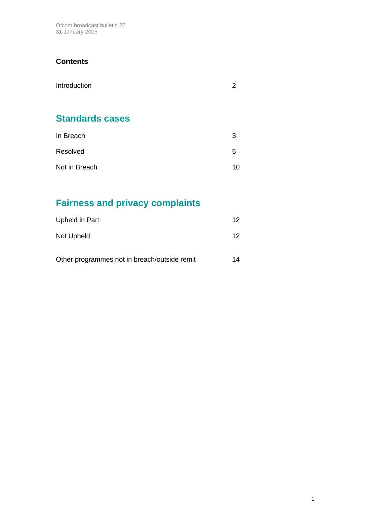Ofcom broadcast bulletin 27 31 January 2005

#### **Contents**

| Introduction | ◠ |
|--------------|---|
|              |   |

# **Standards cases**

| In Breach     | 3  |
|---------------|----|
| Resolved      | .5 |
| Not in Breach | 10 |

# **Fairness and privacy complaints**

| Upheld in Part                               | 12 |
|----------------------------------------------|----|
| Not Upheld                                   | 12 |
| Other programmes not in breach/outside remit | 14 |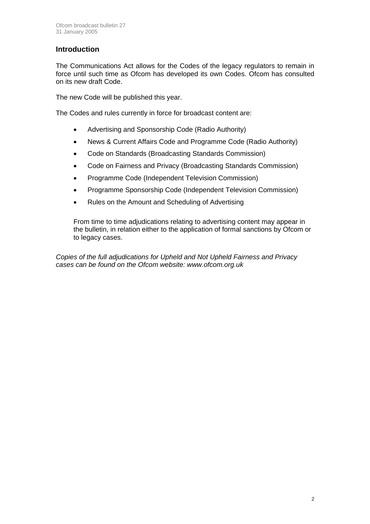#### **Introduction**

The Communications Act allows for the Codes of the legacy regulators to remain in force until such time as Ofcom has developed its own Codes. Ofcom has consulted on its new draft Code.

The new Code will be published this year.

The Codes and rules currently in force for broadcast content are:

- Advertising and Sponsorship Code (Radio Authority)
- News & Current Affairs Code and Programme Code (Radio Authority)
- Code on Standards (Broadcasting Standards Commission)
- Code on Fairness and Privacy (Broadcasting Standards Commission)
- Programme Code (Independent Television Commission)
- Programme Sponsorship Code (Independent Television Commission)
- Rules on the Amount and Scheduling of Advertising

From time to time adjudications relating to advertising content may appear in the bulletin, in relation either to the application of formal sanctions by Ofcom or to legacy cases.

*Copies of the full adjudications for Upheld and Not Upheld Fairness and Privacy cases can be found on the Ofcom website: www.ofcom.org.uk*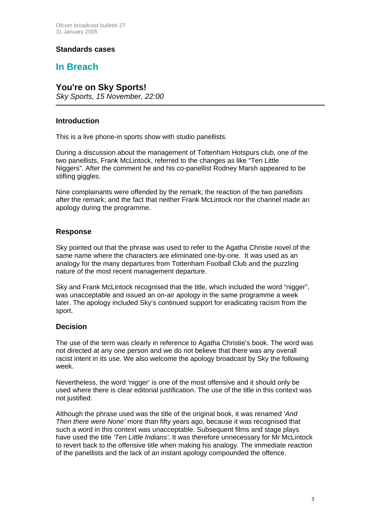#### **Standards cases**

#### **In Breach**

#### **You're on Sky Sports!**

*Sky Sports, 15 November, 22:00*

#### **Introduction**

 $\overline{a}$ 

This is a live phone-in sports show with studio panellists.

During a discussion about the management of Tottenham Hotspurs club, one of the two panellists, Frank McLintock, referred to the changes as like "Ten Little Niggers". After the comment he and his co-panellist Rodney Marsh appeared to be stifling giggles.

Nine complainants were offended by the remark; the reaction of the two panellists after the remark; and the fact that neither Frank McLintock nor the channel made an apology during the programme.

#### **Response**

Sky pointed out that the phrase was used to refer to the Agatha Christie novel of the same name where the characters are eliminated one-by-one. It was used as an analogy for the many departures from Tottenham Football Club and the puzzling nature of the most recent management departure.

Sky and Frank McLintock recognised that the title, which included the word "nigger", was unacceptable and issued an on-air apology in the same programme a week later. The apology included Sky's continued support for eradicating racism from the sport.

#### **Decision**

The use of the term was clearly in reference to Agatha Christie's book. The word was not directed at any one person and we do not believe that there was any overall racist intent in its use. We also welcome the apology broadcast by Sky the following week.

Nevertheless, the word 'nigger' is one of the most offensive and it should only be used where there is clear editorial justification. The use of the title in this context was not justified.

Although the phrase used was the title of the original book, it was renamed '*And Then there were None'* more than fifty years ago, because it was recognised that such a word in this context was unacceptable. Subsequent films and stage plays have used the title *'Ten Little Indians'.* It was therefore unnecessary for Mr McLintock to revert back to the offensive title when making his analogy. The immediate reaction of the panellists and the lack of an instant apology compounded the offence.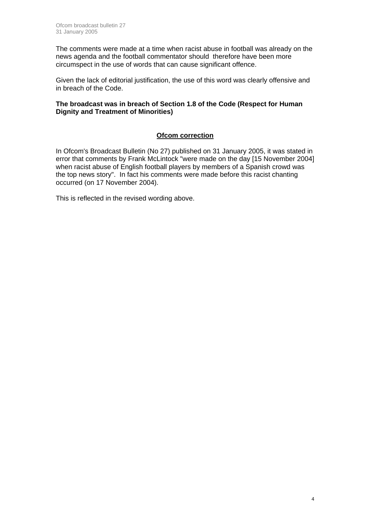The comments were made at a time when racist abuse in football was already on the news agenda and the football commentator should therefore have been more circumspect in the use of words that can cause significant offence.

Given the lack of editorial justification, the use of this word was clearly offensive and in breach of the Code.

#### **The broadcast was in breach of Section 1.8 of the Code (Respect for Human Dignity and Treatment of Minorities)**

#### **Ofcom correction**

In Ofcom's Broadcast Bulletin (No 27) published on 31 January 2005, it was stated in error that comments by Frank McLintock "were made on the day [15 November 2004] when racist abuse of English football players by members of a Spanish crowd was the top news story". In fact his comments were made before this racist chanting occurred (on 17 November 2004).

This is reflected in the revised wording above.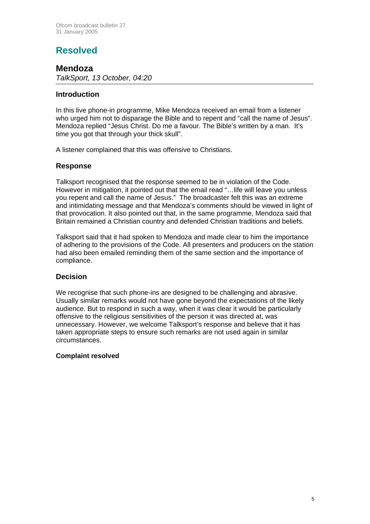# **Resolved**

#### **Mendoza**

*TalkSport, 13 October, 04:20* 

#### **Introduction**

In this live phone-in programme, Mike Mendoza received an email from a listener who urged him not to disparage the Bible and to repent and "call the name of Jesus". Mendoza replied "Jesus Christ. Do me a favour. The Bible's written by a man. It's time you got that through your thick skull".

A listener complained that this was offensive to Christians.

#### **Response**

Talksport recognised that the response seemed to be in violation of the Code. However in mitigation, it pointed out that the email read "…life will leave you unless you repent and call the name of Jesus." The broadcaster felt this was an extreme and intimidating message and that Mendoza's comments should be viewed in light of that provocation. It also pointed out that, in the same programme, Mendoza said that Britain remained a Christian country and defended Christian traditions and beliefs.

Talksport said that it had spoken to Mendoza and made clear to him the importance of adhering to the provisions of the Code. All presenters and producers on the station had also been emailed reminding them of the same section and the importance of compliance.

#### **Decision**

We recognise that such phone-ins are designed to be challenging and abrasive. Usually similar remarks would not have gone beyond the expectations of the likely audience. But to respond in such a way, when it was clear it would be particularly offensive to the religious sensitivities of the person it was directed at, was unnecessary. However, we welcome Talksport's response and believe that it has taken appropriate steps to ensure such remarks are not used again in similar circumstances.

#### **Complaint resolved**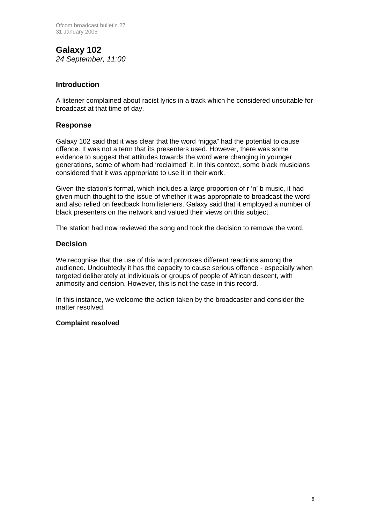#### **Galaxy 102**  *24 September, 11:00*

#### **Introduction**

A listener complained about racist lyrics in a track which he considered unsuitable for broadcast at that time of day.

#### **Response**

Galaxy 102 said that it was clear that the word "nigga" had the potential to cause offence. It was not a term that its presenters used. However, there was some evidence to suggest that attitudes towards the word were changing in younger generations, some of whom had 'reclaimed' it. In this context, some black musicians considered that it was appropriate to use it in their work.

Given the station's format, which includes a large proportion of r 'n' b music, it had given much thought to the issue of whether it was appropriate to broadcast the word and also relied on feedback from listeners. Galaxy said that it employed a number of black presenters on the network and valued their views on this subject.

The station had now reviewed the song and took the decision to remove the word.

#### **Decision**

We recognise that the use of this word provokes different reactions among the audience. Undoubtedly it has the capacity to cause serious offence - especially when targeted deliberately at individuals or groups of people of African descent, with animosity and derision. However, this is not the case in this record.

In this instance, we welcome the action taken by the broadcaster and consider the matter resolved.

#### **Complaint resolved**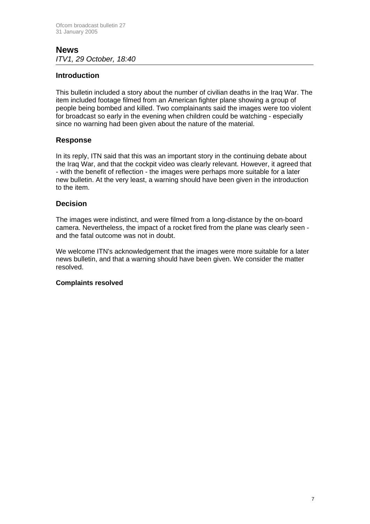#### **News**  *ITV1, 29 October, 18:40*

#### **Introduction**

This bulletin included a story about the number of civilian deaths in the Iraq War. The item included footage filmed from an American fighter plane showing a group of people being bombed and killed. Two complainants said the images were too violent for broadcast so early in the evening when children could be watching - especially since no warning had been given about the nature of the material.

#### **Response**

In its reply, ITN said that this was an important story in the continuing debate about the Iraq War, and that the cockpit video was clearly relevant. However, it agreed that - with the benefit of reflection - the images were perhaps more suitable for a later new bulletin. At the very least, a warning should have been given in the introduction to the item.

#### **Decision**

The images were indistinct, and were filmed from a long-distance by the on-board camera. Nevertheless, the impact of a rocket fired from the plane was clearly seen and the fatal outcome was not in doubt.

We welcome ITN's acknowledgement that the images were more suitable for a later news bulletin, and that a warning should have been given. We consider the matter resolved.

#### **Complaints resolved**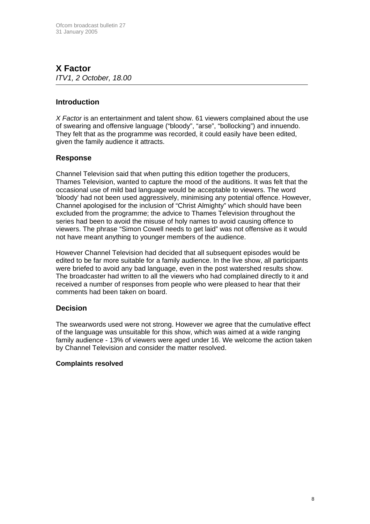#### **X Factor**  *ITV1, 2 October, 18.00*

#### **Introduction**

*X Factor* is an entertainment and talent show. 61 viewers complained about the use of swearing and offensive language ("bloody", "arse", "bollocking") and innuendo. They felt that as the programme was recorded, it could easily have been edited, given the family audience it attracts.

#### **Response**

Channel Television said that when putting this edition together the producers, Thames Television, wanted to capture the mood of the auditions. It was felt that the occasional use of mild bad language would be acceptable to viewers. The word 'bloody' had not been used aggressively, minimising any potential offence. However, Channel apologised for the inclusion of "Christ Almighty" which should have been excluded from the programme; the advice to Thames Television throughout the series had been to avoid the misuse of holy names to avoid causing offence to viewers. The phrase "Simon Cowell needs to get laid" was not offensive as it would not have meant anything to younger members of the audience.

However Channel Television had decided that all subsequent episodes would be edited to be far more suitable for a family audience. In the live show, all participants were briefed to avoid any bad language, even in the post watershed results show. The broadcaster had written to all the viewers who had complained directly to it and received a number of responses from people who were pleased to hear that their comments had been taken on board.

#### **Decision**

The swearwords used were not strong. However we agree that the cumulative effect of the language was unsuitable for this show, which was aimed at a wide ranging family audience - 13% of viewers were aged under 16. We welcome the action taken by Channel Television and consider the matter resolved.

#### **Complaints resolved**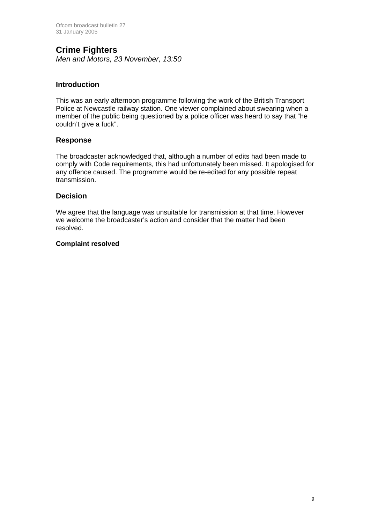# **Crime Fighters**

*Men and Motors, 23 November, 13:50*

#### **Introduction**

This was an early afternoon programme following the work of the British Transport Police at Newcastle railway station. One viewer complained about swearing when a member of the public being questioned by a police officer was heard to say that "he couldn't give a fuck".

#### **Response**

The broadcaster acknowledged that, although a number of edits had been made to comply with Code requirements, this had unfortunately been missed. It apologised for any offence caused. The programme would be re-edited for any possible repeat transmission.

#### **Decision**

We agree that the language was unsuitable for transmission at that time. However we welcome the broadcaster's action and consider that the matter had been resolved.

#### **Complaint resolved**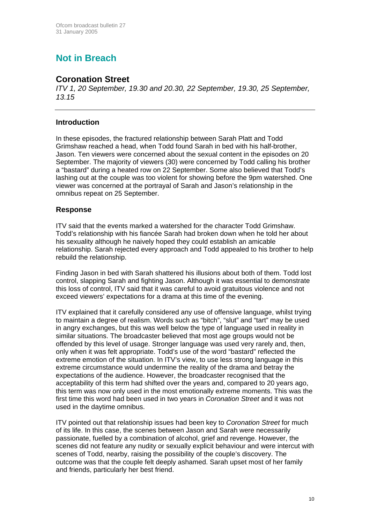# **Not in Breach**

#### **Coronation Street**

*ITV 1, 20 September, 19.30 and 20.30, 22 September, 19.30, 25 September, 13.15* 

#### **Introduction**

In these episodes, the fractured relationship between Sarah Platt and Todd Grimshaw reached a head, when Todd found Sarah in bed with his half-brother, Jason. Ten viewers were concerned about the sexual content in the episodes on 20 September. The majority of viewers (30) were concerned by Todd calling his brother a "bastard" during a heated row on 22 September. Some also believed that Todd's lashing out at the couple was too violent for showing before the 9pm watershed. One viewer was concerned at the portrayal of Sarah and Jason's relationship in the omnibus repeat on 25 September.

#### **Response**

ITV said that the events marked a watershed for the character Todd Grimshaw. Todd's relationship with his fiancée Sarah had broken down when he told her about his sexuality although he naively hoped they could establish an amicable relationship. Sarah rejected every approach and Todd appealed to his brother to help rebuild the relationship.

Finding Jason in bed with Sarah shattered his illusions about both of them. Todd lost control, slapping Sarah and fighting Jason. Although it was essential to demonstrate this loss of control, ITV said that it was careful to avoid gratuitous violence and not exceed viewers' expectations for a drama at this time of the evening.

ITV explained that it carefully considered any use of offensive language, whilst trying to maintain a degree of realism. Words such as "bitch", "slut" and "tart" may be used in angry exchanges, but this was well below the type of language used in reality in similar situations. The broadcaster believed that most age groups would not be offended by this level of usage. Stronger language was used very rarely and, then, only when it was felt appropriate. Todd's use of the word "bastard" reflected the extreme emotion of the situation. In ITV's view, to use less strong language in this extreme circumstance would undermine the reality of the drama and betray the expectations of the audience. However, the broadcaster recognised that the acceptability of this term had shifted over the years and, compared to 20 years ago, this term was now only used in the most emotionally extreme moments. This was the first time this word had been used in two years in *Coronation Street* and it was not used in the daytime omnibus.

ITV pointed out that relationship issues had been key to *Coronation Street* for much of its life. In this case, the scenes between Jason and Sarah were necessarily passionate, fuelled by a combination of alcohol, grief and revenge. However, the scenes did not feature any nudity or sexually explicit behaviour and were intercut with scenes of Todd, nearby, raising the possibility of the couple's discovery. The outcome was that the couple felt deeply ashamed. Sarah upset most of her family and friends, particularly her best friend.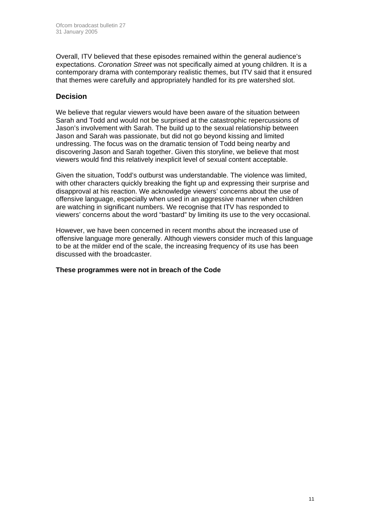Overall, ITV believed that these episodes remained within the general audience's expectations. *Coronation Street* was not specifically aimed at young children. It is a contemporary drama with contemporary realistic themes, but ITV said that it ensured that themes were carefully and appropriately handled for its pre watershed slot.

#### **Decision**

We believe that regular viewers would have been aware of the situation between Sarah and Todd and would not be surprised at the catastrophic repercussions of Jason's involvement with Sarah. The build up to the sexual relationship between Jason and Sarah was passionate, but did not go beyond kissing and limited undressing. The focus was on the dramatic tension of Todd being nearby and discovering Jason and Sarah together. Given this storyline, we believe that most viewers would find this relatively inexplicit level of sexual content acceptable.

Given the situation, Todd's outburst was understandable. The violence was limited, with other characters quickly breaking the fight up and expressing their surprise and disapproval at his reaction. We acknowledge viewers' concerns about the use of offensive language, especially when used in an aggressive manner when children are watching in significant numbers. We recognise that ITV has responded to viewers' concerns about the word "bastard" by limiting its use to the very occasional.

However, we have been concerned in recent months about the increased use of offensive language more generally. Although viewers consider much of this language to be at the milder end of the scale, the increasing frequency of its use has been discussed with the broadcaster.

#### **These programmes were not in breach of the Code**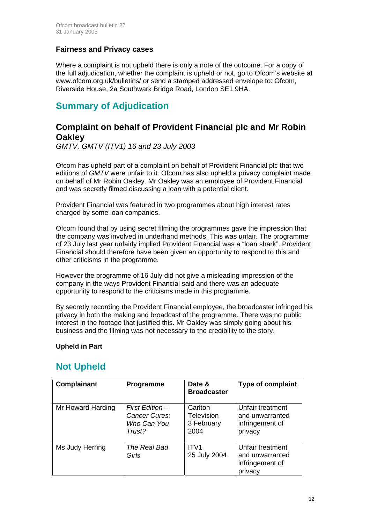#### **Fairness and Privacy cases**

Where a complaint is not upheld there is only a note of the outcome. For a copy of the full adjudication, whether the complaint is upheld or not, go to Ofcom's website at www.ofcom.org.uk/bulletins/ or send a stamped addressed envelope to: Ofcom, Riverside House, 2a Southwark Bridge Road, London SE1 9HA.

## **Summary of Adjudication**

#### **Complaint on behalf of Provident Financial plc and Mr Robin Oakley**

*GMTV, GMTV (ITV1) 16 and 23 July 2003* 

Ofcom has upheld part of a complaint on behalf of Provident Financial plc that two editions of *GMTV* were unfair to it. Ofcom has also upheld a privacy complaint made on behalf of Mr Robin Oakley. Mr Oakley was an employee of Provident Financial and was secretly filmed discussing a loan with a potential client.

Provident Financial was featured in two programmes about high interest rates charged by some loan companies.

Ofcom found that by using secret filming the programmes gave the impression that the company was involved in underhand methods. This was unfair. The programme of 23 July last year unfairly implied Provident Financial was a "loan shark". Provident Financial should therefore have been given an opportunity to respond to this and other criticisms in the programme.

However the programme of 16 July did not give a misleading impression of the company in the ways Provident Financial said and there was an adequate opportunity to respond to the criticisms made in this programme.

By secretly recording the Provident Financial employee, the broadcaster infringed his privacy in both the making and broadcast of the programme. There was no public interest in the footage that justified this. Mr Oakley was simply going about his business and the filming was not necessary to the credibility to the story.

#### **Upheld in Part**

### **Not Upheld**

| <b>Complainant</b> | <b>Programme</b>                                          | Date &<br><b>Broadcaster</b>                       | <b>Type of complaint</b>                                          |
|--------------------|-----------------------------------------------------------|----------------------------------------------------|-------------------------------------------------------------------|
| Mr Howard Harding  | First Edition –<br>Cancer Cures:<br>Who Can You<br>Trust? | Carlton<br><b>Television</b><br>3 February<br>2004 | Unfair treatment<br>and unwarranted<br>infringement of<br>privacy |
| Ms Judy Herring    | The Real Bad<br>Girls                                     | ITV <sub>1</sub><br>25 July 2004                   | Unfair treatment<br>and unwarranted<br>infringement of<br>privacy |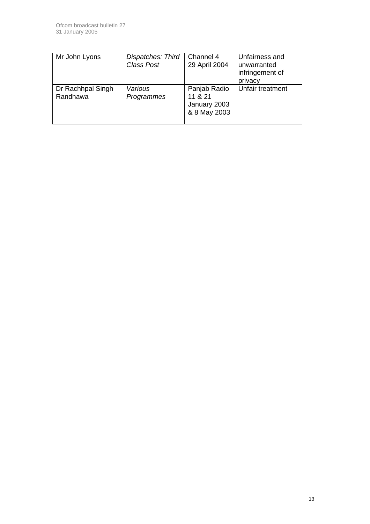| Mr John Lyons                 | Dispatches: Third<br>Class Post | Channel 4<br>29 April 2004                              | Unfairness and<br>unwarranted<br>infringement of<br>privacy |
|-------------------------------|---------------------------------|---------------------------------------------------------|-------------------------------------------------------------|
| Dr Rachhpal Singh<br>Randhawa | Various<br>Programmes           | Panjab Radio<br>11 & 21<br>January 2003<br>& 8 May 2003 | Unfair treatment                                            |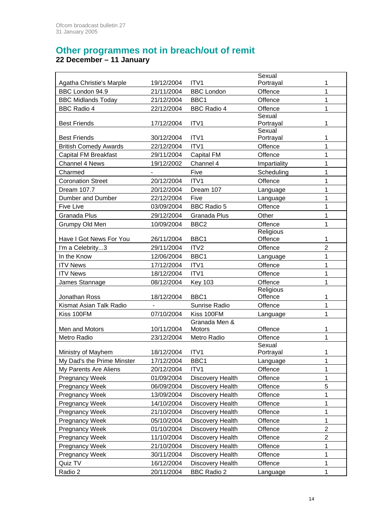#### **Other programmes not in breach/out of remit 22 December – 11 January**

|                              |                 |                         | Sexual              |                         |
|------------------------------|-----------------|-------------------------|---------------------|-------------------------|
| Agatha Christie's Marple     | 19/12/2004      | ITV <sub>1</sub>        | Portrayal           | 1                       |
| BBC London 94.9              | 21/11/2004      | <b>BBC London</b>       | Offence             | 1                       |
| <b>BBC Midlands Today</b>    | 21/12/2004      | BBC1                    | Offence             | $\mathbf 1$             |
| <b>BBC Radio 4</b>           | 22/12/2004      | <b>BBC Radio 4</b>      | Offence             | 1                       |
|                              |                 |                         | Sexual              |                         |
| <b>Best Friends</b>          | 17/12/2004      | ITV1                    | Portrayal           | 1                       |
|                              |                 |                         | Sexual              |                         |
| <b>Best Friends</b>          | 30/12/2004      | ITV1                    | Portrayal           | 1                       |
| <b>British Comedy Awards</b> | 22/12/2004      | ITV1                    | Offence             | 1                       |
| <b>Capital FM Breakfast</b>  | 29/11/2004      | Capital FM              | Offence             | $\mathbf{1}$            |
| Channel 4 News               | 19/12/2002      | Channel 4               | Impartiality        | 1                       |
| Charmed                      |                 | Five                    | Scheduling          | 1                       |
| <b>Coronation Street</b>     | 20/12/2004      | ITV1                    | Offence             | 1                       |
| Dream 107.7                  | 20/12/2004      | Dream 107               | Language            | 1                       |
| Dumber and Dumber            | 22/12/2004      | Five                    | Language            | 1                       |
| <b>Five Live</b>             | 03/09/2004      | <b>BBC Radio 5</b>      | Offence             | $\mathbf 1$             |
| <b>Granada Plus</b>          | 29/12/2004      | Granada Plus            | Other               | 1                       |
| Grumpy Old Men               | 10/09/2004      | BBC <sub>2</sub>        | Offence             | 1                       |
|                              |                 |                         | Religious           |                         |
| Have I Got News For You      | 26/11/2004      | BBC1                    | Offence             | 1                       |
| I'm a Celebrity3             | 29/11/2004      | ITV2                    | Offence             | $\overline{2}$          |
| In the Know                  | 12/06/2004      | BBC1                    | Language            | 1                       |
| <b>ITV News</b>              | 17/12/2004      | ITV1                    | Offence             | 1                       |
| <b>ITV News</b>              | 18/12/2004      | ITV1                    | Offence             | 1                       |
| James Stannage               | 08/12/2004      | <b>Key 103</b>          | Offence             | 1                       |
|                              |                 |                         | Religious           |                         |
| Jonathan Ross                | 18/12/2004      | BBC1                    | Offence             | 1                       |
| Kismat Asian Talk Radio      | $\blacksquare$  | Sunrise Radio           | Offence             | 1                       |
| Kiss 100FM                   | 07/10/2004      | Kiss 100FM              | Language            | 1                       |
|                              |                 | Granada Men &           |                     |                         |
| Men and Motors               | 10/11/2004      | Motors                  | Offence             | 1                       |
| Metro Radio                  | 23/12/2004      | Metro Radio             | Offence             | 1                       |
| Ministry of Mayhem           | 18/12/2004 ITV1 |                         | Sexual<br>Portrayal | 1                       |
| My Dad's the Prime Minster   | 17/12/2004      | BBC1                    | Language            | 1                       |
| My Parents Are Aliens        | 20/12/2004      | ITV1                    | Offence             | 1                       |
|                              |                 |                         |                     | 1                       |
| Pregnancy Week               | 01/09/2004      | Discovery Health        | Offence             |                         |
| Pregnancy Week               | 06/09/2004      | Discovery Health        | Offence             | 5                       |
| Pregnancy Week               | 13/09/2004      | Discovery Health        | Offence             | 1                       |
| Pregnancy Week               | 14/10/2004      | Discovery Health        | Offence             | 1                       |
| <b>Pregnancy Week</b>        | 21/10/2004      | Discovery Health        | Offence             | $\mathbf 1$             |
| Pregnancy Week               | 05/10/2004      | Discovery Health        | Offence             | 1                       |
| Pregnancy Week               | 01/10/2004      | <b>Discovery Health</b> | Offence             | $\overline{c}$          |
| Pregnancy Week               | 11/10/2004      | Discovery Health        | Offence             | $\overline{\mathbf{c}}$ |
| Pregnancy Week               | 21/10/2004      | Discovery Health        | Offence             | 1                       |
| Pregnancy Week               | 30/11/2004      | Discovery Health        | Offence             | 1                       |
| Quiz TV                      | 16/12/2004      | Discovery Health        | Offence             | 1                       |
| Radio 2                      | 20/11/2004      | <b>BBC Radio 2</b>      | Language            | 1                       |